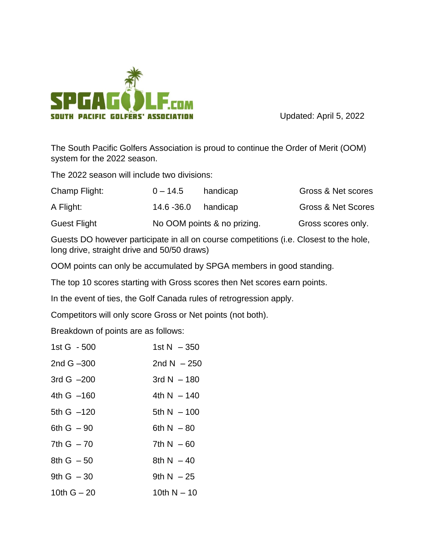

Updated: April 5, 2022

The South Pacific Golfers Association is proud to continue the Order of Merit (OOM) system for the 2022 season.

The 2022 season will include two divisions:

| Champ Flight:       | $0 - 14.5$                  | handicap | Gross & Net scores            |
|---------------------|-----------------------------|----------|-------------------------------|
| A Flight:           | 14.6 -36.0                  | handicap | <b>Gross &amp; Net Scores</b> |
| <b>Guest Flight</b> | No OOM points & no prizing. |          | Gross scores only.            |

Guests DO however participate in all on course competitions (i.e. Closest to the hole, long drive, straight drive and 50/50 draws)

OOM points can only be accumulated by SPGA members in good standing.

The top 10 scores starting with Gross scores then Net scores earn points.

In the event of ties, the Golf Canada rules of retrogression apply.

Competitors will only score Gross or Net points (not both).

Breakdown of points are as follows:

| 1st G - 500   | 1st N $-350$  |
|---------------|---------------|
| 2nd $G - 300$ | 2nd N $-250$  |
| 3rd G $-200$  | 3rd N $-$ 180 |
| 4th G -160    | 4th N $-$ 140 |
| 5th G -120    | 5th $N - 100$ |
| 6th $G - 90$  | 6th $N - 80$  |
| 7th $G - 70$  | 7th $N - 60$  |
| $8th G - 50$  | 8th $N - 40$  |
| 9th $G - 30$  | 9th $N - 25$  |
| 10th $G - 20$ | 10th N $-$ 10 |